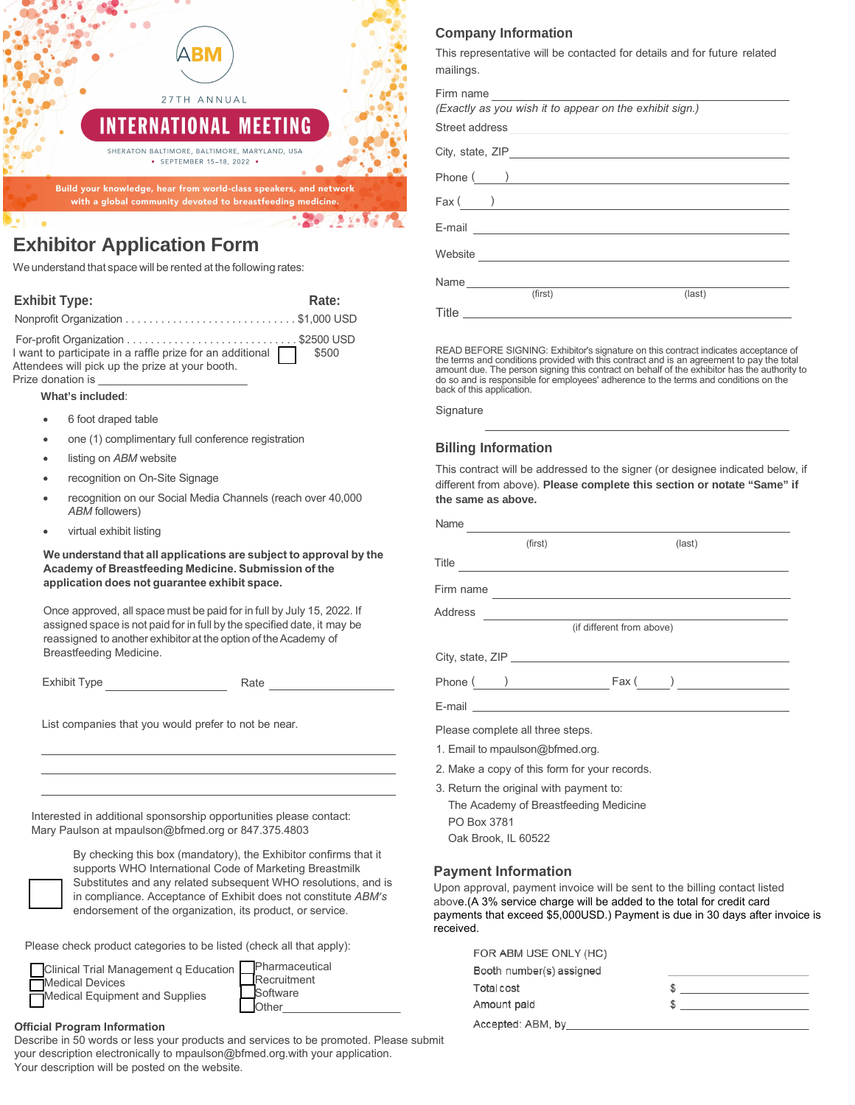

# **Exhibitor Application Form**

We understand that space will be rented at the following rates:

| <b>Exhibit Type:</b>                                                                                                                                             | Rate: |
|------------------------------------------------------------------------------------------------------------------------------------------------------------------|-------|
|                                                                                                                                                                  |       |
| I want to participate in a raffle prize for an additional <b>19 S</b> \$500<br>Attendees will pick up the prize at your booth.<br>Prize donation is ____________ |       |

**What's included**:

- 6 foot draped table
- one (1) complimentary full conference registration
- listing on **ABM** website
- recognition on On-Site Signage
- recognition on our Social Media Channels (reach over 40,000 *ABM* followers)
- virtual exhibit listing

**We understand that all applications are subject to approval by the Academy of Breastfeeding Medicine. Submission of the application does not guarantee exhibit space.** 

Once approved, all space must be paid for in full by July 15, 2022. If assigned space is not paid for in full by the specified date, it may be reassigned to another exhibitor at the option of the Academy of Breastfeeding Medicine.

Exhibit Type **Rate** Rate

List companies that you would prefer to not be near.

Interested in additional sponsorship opportunities please contact: Mary Paulson at mpaulson@bfmed.org or 847.375.4803

> By checking this box (mandatory), the Exhibitor confirms that it supports WHO International Code of Marketing Breastmilk Substitutes and any related subsequent WHO resolutions, and is in compliance. Acceptance of Exhibit does not constitute *ABM's* endorsement of the organization, its product, or service.

Please check product categories to be listed (check all that apply):



### **Official Program Information**

Describe in 50 words or less your products and services to be promoted. Please submit your description electronically to mpaulson@bfmed.org.with your application. Your description will be posted on the website.

## **Company Information**

This representative will be contacted for details and for future related mailings.

| Firm name                                               |  |
|---------------------------------------------------------|--|
| (Exactly as you wish it to appear on the exhibit sign.) |  |
|                                                         |  |
|                                                         |  |
|                                                         |  |
| $\text{Fax}(\qquad)$                                    |  |
|                                                         |  |
|                                                         |  |
| Name                                                    |  |
| (first)<br>$last)$                                      |  |
|                                                         |  |

READ BEFORE SIGNING: Exhibitor's signature on this contract indicates acceptance of the terms and conditions provided with this contract and is an agreement to pay the total amount due. The person signing this contract on behalf of the exhibitor has the authority to do so and is responsible for employees' adherence to the terms and conditions on the back of this application.

**Signature** 

# **Billing Information**

This contract will be addressed to the signer (or designee indicated below, if different from above). **Please complete this section or notate "Same" if the same as above.**

| Name                                          |                           |  |
|-----------------------------------------------|---------------------------|--|
| (first)                                       | $last)$                   |  |
|                                               | Title                     |  |
|                                               | Firm name                 |  |
|                                               |                           |  |
|                                               | (if different from above) |  |
|                                               |                           |  |
|                                               |                           |  |
|                                               |                           |  |
| Please complete all three steps.              |                           |  |
| 1. Email to mpaulson@bfmed.org.               |                           |  |
| 2. Make a copy of this form for your records. |                           |  |

- 3. Return the original with payment to:
- The Academy of Breastfeeding Medicine PO Box 3781

# Oak Brook, IL 60522

#### **Payment Information**

Upon approval, payment invoice will be sent to the billing contact listed above.(A 3% service charge will be added to the total for credit card payments that exceed \$5,000USD.) Payment is due in 30 days after invoice is received.

| FOR ABM USE ONLY (HC)    |  |
|--------------------------|--|
| Booth number(s) assigned |  |
| Total cost               |  |
| Amount paid              |  |
| Accepted: ABM, by        |  |